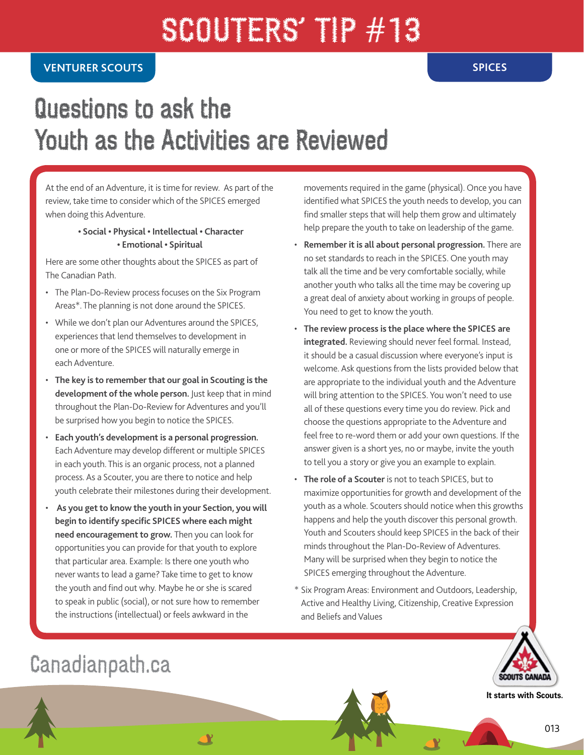# SCOUTERS' TIP #13

## Questions to ask the Youth as the Activities are Reviewed

At the end of an Adventure, it is time for review. As part of the review, take time to consider which of the SPICES emerged when doing this Adventure.

#### **• Social • Physical • Intellectual • Character • Emotional • Spiritual**

Here are some other thoughts about the SPICES as part of The Canadian Path.

- The Plan-Do-Review process focuses on the Six Program Areas\*. The planning is not done around the SPICES.
- While we don't plan our Adventures around the SPICES, experiences that lend themselves to development in one or more of the SPICES will naturally emerge in each Adventure.
- **The key is to remember that our goal in Scouting is the development of the whole person.** Just keep that in mind throughout the Plan-Do-Review for Adventures and you'll be surprised how you begin to notice the SPICES.
- **Each youth's development is a personal progression.**  Each Adventure may develop different or multiple SPICES in each youth. This is an organic process, not a planned process. As a Scouter, you are there to notice and help youth celebrate their milestones during their development.
- • **As you get to know the youth in your Section, you will begin to identify specific SPICES where each might need encouragement to grow.** Then you can look for opportunities you can provide for that youth to explore that particular area. Example: Is there one youth who never wants to lead a game? Take time to get to know the youth and find out why. Maybe he or she is scared to speak in public (social), or not sure how to remember the instructions (intellectual) or feels awkward in the

**AY** 

movements required in the game (physical). Once you have identified what SPICES the youth needs to develop, you can find smaller steps that will help them grow and ultimately help prepare the youth to take on leadership of the game.

- **Remember it is all about personal progression.** There are no set standards to reach in the SPICES. One youth may talk all the time and be very comfortable socially, while another youth who talks all the time may be covering up a great deal of anxiety about working in groups of people. You need to get to know the youth.
- **The review process is the place where the SPICES are integrated.** Reviewing should never feel formal. Instead, it should be a casual discussion where everyone's input is welcome. Ask questions from the lists provided below that are appropriate to the individual youth and the Adventure will bring attention to the SPICES. You won't need to use all of these questions every time you do review. Pick and choose the questions appropriate to the Adventure and feel free to re-word them or add your own questions. If the answer given is a short yes, no or maybe, invite the youth to tell you a story or give you an example to explain.
- **The role of a Scouter** is not to teach SPICES, but to maximize opportunities for growth and development of the youth as a whole. Scouters should notice when this growths happens and help the youth discover this personal growth. Youth and Scouters should keep SPICES in the back of their minds throughout the Plan-Do-Review of Adventures. Many will be surprised when they begin to notice the SPICES emerging throughout the Adventure.
- \* Six Program Areas: Environment and Outdoors, Leadership, Active and Healthy Living, Citizenship, Creative Expression and Beliefs and Values



**It starts with Scouts.**

### Canadianpath.ca